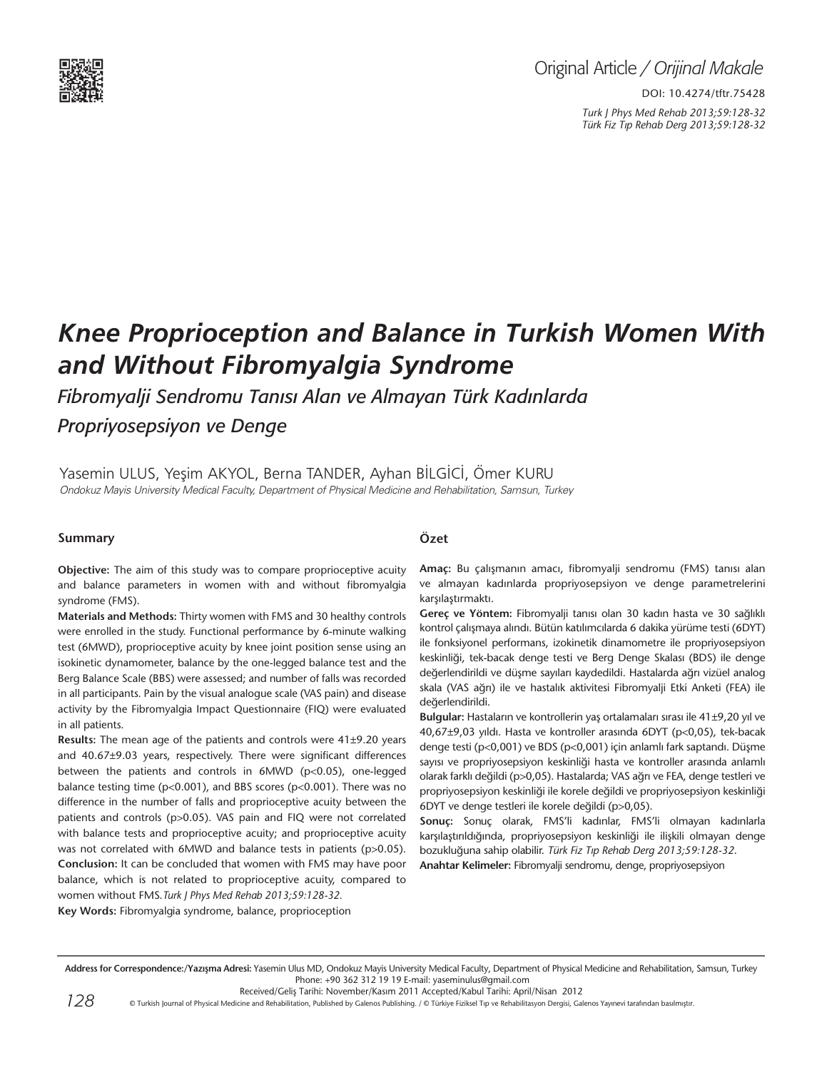

## Original Article */ Orijinal Makale*

DOI: 10.4274/tftr.75428 *Turk J Phys Med Rehab 2013;59:128-32 Türk Fiz T›p Rehab Derg 2013;59:128-32*

# *Knee Proprioception and Balance in Turkish Women With and Without Fibromyalgia Syndrome*

*Fibromyalji Sendromu Tanısı Alan ve Almayan Türk Kadınlarda Propriyosepsiyon ve Denge*

Yasemin Ulus, Yeşim Akyol, Berna Tander, Ayhan Bİlgİcİ, Ömer Kuru Ondokuz Mayis University Medical Faculty, Department of Physical Medicine and Rehabilitation, Samsun, Turkey

#### **Summary**

**Objective:** The aim of this study was to compare proprioceptive acuity and balance parameters in women with and without fibromyalgia syndrome (FMS).

**Materials and Methods:** Thirty women with FMS and 30 healthy controls were enrolled in the study. Functional performance by 6-minute walking test (6MWD), proprioceptive acuity by knee joint position sense using an isokinetic dynamometer, balance by the one-legged balance test and the Berg Balance Scale (BBS) were assessed; and number of falls was recorded in all participants. Pain by the visual analogue scale (VAS pain) and disease activity by the Fibromyalgia Impact Questionnaire (FIQ) were evaluated in all patients.

**Results:** The mean age of the patients and controls were 41±9.20 years and 40.67±9.03 years, respectively. There were significant differences between the patients and controls in 6MWD (p<0.05), one-legged balance testing time (p<0.001), and BBS scores (p<0.001). There was no difference in the number of falls and proprioceptive acuity between the patients and controls (p>0.05). VAS pain and FIQ were not correlated with balance tests and proprioceptive acuity; and proprioceptive acuity was not correlated with 6MWD and balance tests in patients (p>0.05). **Conclusion:** It can be concluded that women with FMS may have poor balance, which is not related to proprioceptive acuity, compared to women without FMS.*Turk J Phys Med Rehab 2013;59:128-32.*

#### **Özet**

**Amaç:** Bu çalışmanın amacı, fibromyalji sendromu (FMS) tanısı alan ve almayan kadınlarda propriyosepsiyon ve denge parametrelerini karşılaştırmaktı.

**Gereç ve Yöntem:** Fibromyalji tanısı olan 30 kadın hasta ve 30 sağlıklı kontrol çalışmaya alındı. Bütün katılımcılarda 6 dakika yürüme testi (6DYT) ile fonksiyonel performans, izokinetik dinamometre ile propriyosepsiyon keskinliği, tek-bacak denge testi ve Berg Denge Skalası (BDS) ile denge değerlendirildi ve düşme sayıları kaydedildi. Hastalarda ağrı vizüel analog skala (VAS ağrı) ile ve hastalık aktivitesi Fibromyalji Etki Anketi (FEA) ile değerlendirildi.

**Bulgular:** Hastaların ve kontrollerin yaş ortalamaları sırası ile 41±9,20 yıl ve 40,67±9,03 yıldı. Hasta ve kontroller arasında 6DYT (p<0,05), tek-bacak denge testi (p<0,001) ve BDS (p<0,001) için anlamlı fark saptandı. Düşme sayısı ve propriyosepsiyon keskinliği hasta ve kontroller arasında anlamlı olarak farklı değildi (p>0,05). Hastalarda; VAS ağrı ve FEA, denge testleri ve propriyosepsiyon keskinliği ile korele değildi ve propriyosepsiyon keskinliği 6DYT ve denge testleri ile korele değildi (p>0,05).

**Sonuç:** Sonuç olarak, FMS'li kadınlar, FMS'li olmayan kadınlarla karşılaştırıldığında, propriyosepsiyon keskinliği ile ilişkili olmayan denge bozukluğuna sahip olabilir. *Türk Fiz T›p Rehab Derg 2013;59:128-32*. **Anahtar Kelimeler:** Fibromyalji sendromu, denge, propriyosepsiyon

**Key Words:** Fibromyalgia syndrome, balance, proprioception

Address for Correspondence:/Yazışma Adresi: Yasemin Ulus MD, Ondokuz Mayis University Medical Faculty, Department of Physical Medicine and Rehabilitation, Samsun, Turkey Phone: +90 362 312 19 19 E-mail: yaseminulus@gmail.com

*128* © Turkish Journal of Physical Medicine and Rehabilitation, Published by Galenos Publishing. / © Türkiye Fiziksel Tıp ve Rehabilitasyon Dergisi, Galenos Yayınevi tarafından basılmıştır.

Received/Geliş Tarihi: November/Kasım 2011 Accepted/Kabul Tarihi: April/Nisan 2012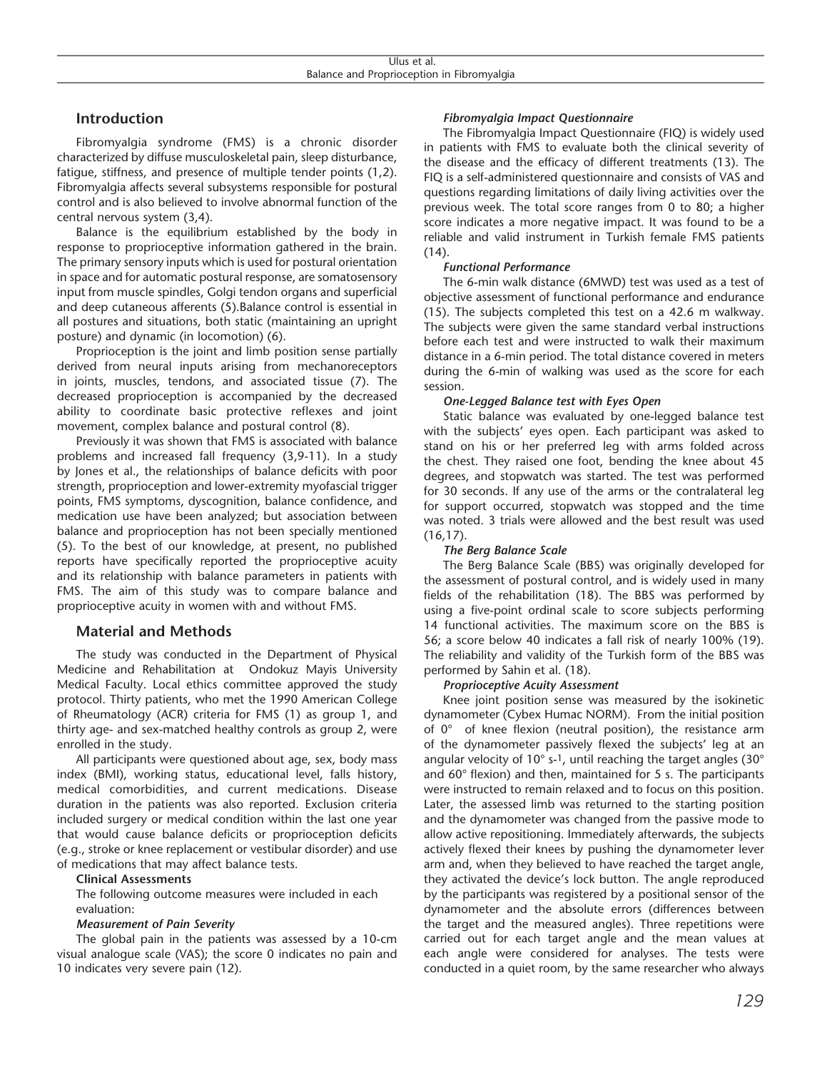#### **Introduction**

Fibromyalgia syndrome (FMS) is a chronic disorder characterized by diffuse musculoskeletal pain, sleep disturbance, fatigue, stiffness, and presence of multiple tender points (1,2). Fibromyalgia affects several subsystems responsible for postural control and is also believed to involve abnormal function of the central nervous system (3,4).

Balance is the equilibrium established by the body in response to proprioceptive information gathered in the brain. The primary sensory inputs which is used for postural orientation in space and for automatic postural response, are somatosensory input from muscle spindles, Golgi tendon organs and superficial and deep cutaneous afferents (5).Balance control is essential in all postures and situations, both static (maintaining an upright posture) and dynamic (in locomotion) (6).

Proprioception is the joint and limb position sense partially derived from neural inputs arising from mechanoreceptors in joints, muscles, tendons, and associated tissue (7). The decreased proprioception is accompanied by the decreased ability to coordinate basic protective reflexes and joint movement, complex balance and postural control (8).

Previously it was shown that FMS is associated with balance problems and increased fall frequency (3,9-11). In a study by Jones et al., the relationships of balance deficits with poor strength, proprioception and lower-extremity myofascial trigger points, FMS symptoms, dyscognition, balance confidence, and medication use have been analyzed; but association between balance and proprioception has not been specially mentioned (5). To the best of our knowledge, at present, no published reports have specifically reported the proprioceptive acuity and its relationship with balance parameters in patients with FMS. The aim of this study was to compare balance and proprioceptive acuity in women with and without FMS.

### **Material and Methods**

The study was conducted in the Department of Physical Medicine and Rehabilitation at Ondokuz Mayis University Medical Faculty. Local ethics committee approved the study protocol. Thirty patients, who met the 1990 American College of Rheumatology (ACR) criteria for FMS (1) as group 1, and thirty age- and sex-matched healthy controls as group 2, were enrolled in the study.

All participants were questioned about age, sex, body mass index (BMI), working status, educational level, falls history, medical comorbidities, and current medications. Disease duration in the patients was also reported. Exclusion criteria included surgery or medical condition within the last one year that would cause balance deficits or proprioception deficits (e.g., stroke or knee replacement or vestibular disorder) and use of medications that may affect balance tests.

#### **Clinical Assessments**

The following outcome measures were included in each evaluation:

#### *Measurement of Pain Severity*

The global pain in the patients was assessed by a 10-cm visual analogue scale (VAS); the score 0 indicates no pain and 10 indicates very severe pain (12).

#### *Fibromyalgia Impact Questionnaire*

The Fibromyalgia Impact Questionnaire (FIQ) is widely used in patients with FMS to evaluate both the clinical severity of the disease and the efficacy of different treatments (13). The FIQ is a self-administered questionnaire and consists of VAS and questions regarding limitations of daily living activities over the previous week. The total score ranges from 0 to 80; a higher score indicates a more negative impact. It was found to be a reliable and valid instrument in Turkish female FMS patients (14).

#### *Functional Performance*

The 6-min walk distance (6MWD) test was used as a test of objective assessment of functional performance and endurance (15). The subjects completed this test on a 42.6 m walkway. The subjects were given the same standard verbal instructions before each test and were instructed to walk their maximum distance in a 6-min period. The total distance covered in meters during the 6-min of walking was used as the score for each session.

#### *One-Legged Balance test with Eyes Open*

Static balance was evaluated by one-legged balance test with the subjects' eyes open. Each participant was asked to stand on his or her preferred leg with arms folded across the chest. They raised one foot, bending the knee about 45 degrees, and stopwatch was started. The test was performed for 30 seconds. If any use of the arms or the contralateral leg for support occurred, stopwatch was stopped and the time was noted. 3 trials were allowed and the best result was used (16,17).

#### *The Berg Balance Scale*

The Berg Balance Scale (BBS) was originally developed for the assessment of postural control, and is widely used in many fields of the rehabilitation (18). The BBS was performed by using a five-point ordinal scale to score subjects performing 14 functional activities. The maximum score on the BBS is 56; a score below 40 indicates a fall risk of nearly 100% (19). The reliability and validity of the Turkish form of the BBS was performed by Sahin et al. (18).

#### *Proprioceptive Acuity Assessment*

Knee joint position sense was measured by the isokinetic dynamometer (Cybex Humac NORM). From the initial position of 0° of knee flexion (neutral position), the resistance arm of the dynamometer passively flexed the subjects' leg at an angular velocity of  $10^{\circ}$  s-1, until reaching the target angles (30 $^{\circ}$ and 60° flexion) and then, maintained for 5 s. The participants were instructed to remain relaxed and to focus on this position. Later, the assessed limb was returned to the starting position and the dynamometer was changed from the passive mode to allow active repositioning. Immediately afterwards, the subjects actively flexed their knees by pushing the dynamometer lever arm and, when they believed to have reached the target angle, they activated the device's lock button. The angle reproduced by the participants was registered by a positional sensor of the dynamometer and the absolute errors (differences between the target and the measured angles). Three repetitions were carried out for each target angle and the mean values at each angle were considered for analyses. The tests were conducted in a quiet room, by the same researcher who always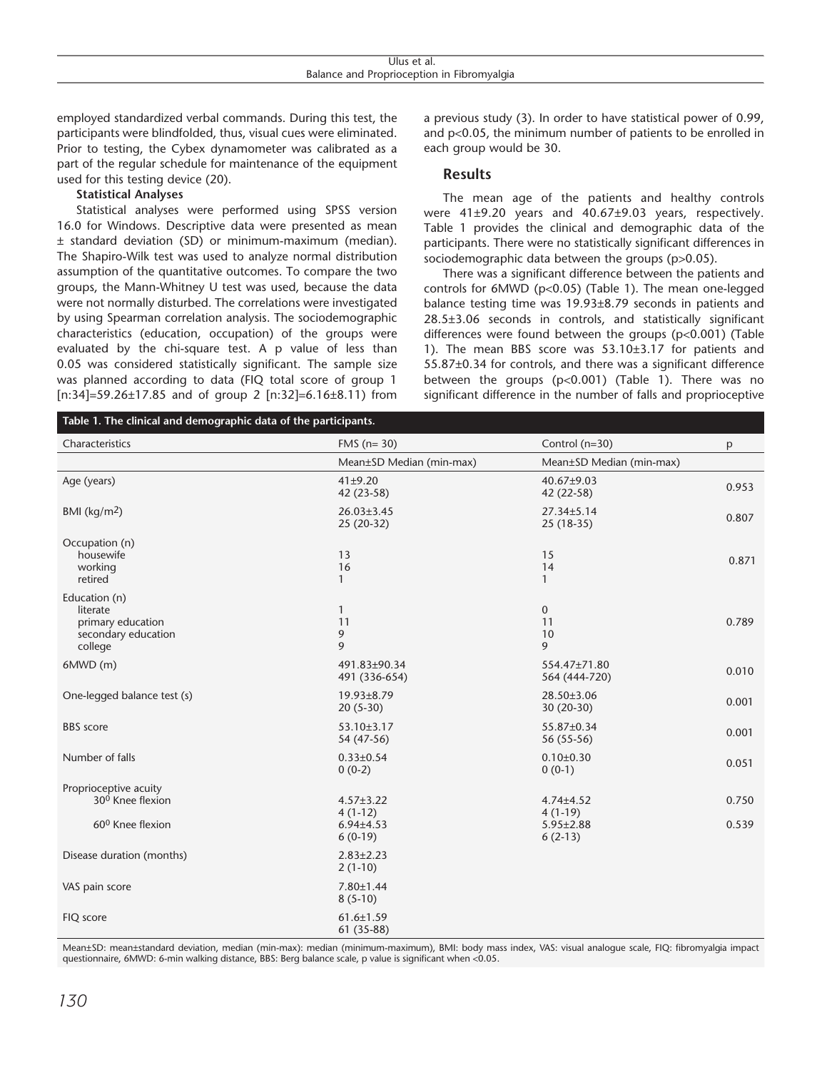| Jlus<br>al.<br>.                                   |  |
|----------------------------------------------------|--|
| an<br>. .Jr-<br>`valdia i<br>וחרזר<br>- 11<br>adia |  |

employed standardized verbal commands. During this test, the participants were blindfolded, thus, visual cues were eliminated. Prior to testing, the Cybex dynamometer was calibrated as a part of the regular schedule for maintenance of the equipment used for this testing device (20).

#### **Statistical Analyses**

Statistical analyses were performed using SPSS version 16.0 for Windows. Descriptive data were presented as mean ± standard deviation (SD) or minimum-maximum (median). The Shapiro-Wilk test was used to analyze normal distribution assumption of the quantitative outcomes. To compare the two groups, the Mann-Whitney U test was used, because the data were not normally disturbed. The correlations were investigated by using Spearman correlation analysis. The sociodemographic characteristics (education, occupation) of the groups were evaluated by the chi-square test. A p value of less than 0.05 was considered statistically significant. The sample size was planned according to data (FIQ total score of group 1 [n:34]=59.26±17.85 and of group 2 [n:32]=6.16±8.11) from

a previous study (3). In order to have statistical power of 0.99, and p<0.05, the minimum number of patients to be enrolled in each group would be 30.

#### **Results**

The mean age of the patients and healthy controls were 41±9.20 years and 40.67±9.03 years, respectively. Table 1 provides the clinical and demographic data of the participants. There were no statistically significant differences in sociodemographic data between the groups (p>0.05).

There was a significant difference between the patients and controls for 6MWD (p<0.05) (Table 1). The mean one-legged balance testing time was 19.93±8.79 seconds in patients and 28.5±3.06 seconds in controls, and statistically significant differences were found between the groups (p<0.001) (Table 1). The mean BBS score was 53.10±3.17 for patients and 55.87±0.34 for controls, and there was a significant difference between the groups (p<0.001) (Table 1). There was no significant difference in the number of falls and proprioceptive

| Table 1. The clinical and demographic data of the participants.                       |                                                              |                                                              |                |  |  |  |
|---------------------------------------------------------------------------------------|--------------------------------------------------------------|--------------------------------------------------------------|----------------|--|--|--|
| Characteristics                                                                       | FMS ( $n=30$ )                                               | Control (n=30)                                               | p              |  |  |  |
|                                                                                       | Mean±SD Median (min-max)                                     | Mean±SD Median (min-max)                                     |                |  |  |  |
| Age (years)                                                                           | 41±9.20<br>42 (23-58)                                        | 40.67±9.03<br>42 (22-58)                                     | 0.953          |  |  |  |
| BMI ( $\text{kg/m}^2$ )                                                               | $26.03 \pm 3.45$<br>$25(20-32)$                              | $27.34 \pm 5.14$<br>$25(18-35)$                              | 0.807          |  |  |  |
| Occupation (n)<br>housewife<br>working<br>retired                                     | 13<br>16<br>$\mathbf{1}$                                     | 15<br>14<br>1                                                | 0.871          |  |  |  |
| Education (n)<br>literate<br>primary education<br>secondary education<br>college      | $\mathbf{1}$<br>11<br>9<br>9                                 | $\mathbf{0}$<br>11<br>10<br>9                                | 0.789          |  |  |  |
| $6MWD$ (m)                                                                            | 491.83±90.34<br>491 (336-654)                                | 554.47±71.80<br>564 (444-720)                                | 0.010          |  |  |  |
| One-legged balance test (s)                                                           | 19.93±8.79<br>$20(5-30)$                                     | 28.50±3.06<br>$30(20-30)$                                    | 0.001          |  |  |  |
| <b>BBS</b> score                                                                      | $53.10 \pm 3.17$<br>54 (47-56)                               | 55.87±0.34<br>56 (55-56)                                     | 0.001          |  |  |  |
| Number of falls                                                                       | $0.33 \pm 0.54$<br>$0(0-2)$                                  | $0.10 \pm 0.30$<br>$0(0-1)$                                  | 0.051          |  |  |  |
| Proprioceptive acuity<br>30 <sup>0</sup> Knee flexion<br>60 <sup>0</sup> Knee flexion | $4.57 \pm 3.22$<br>$4(1-12)$<br>$6.94{\pm}4.53$<br>$6(0-19)$ | $4.74 \pm 4.52$<br>$4(1-19)$<br>$5.95 \pm 2.88$<br>$6(2-13)$ | 0.750<br>0.539 |  |  |  |
| Disease duration (months)                                                             | $2.83 \pm 2.23$<br>$2(1-10)$                                 |                                                              |                |  |  |  |
| VAS pain score                                                                        | $7.80 \pm 1.44$<br>$8(5-10)$                                 |                                                              |                |  |  |  |
| FIQ score                                                                             | $61.6 \pm 1.59$<br>61 (35-88)                                |                                                              |                |  |  |  |

Mean±SD: mean±standard deviation, median (min-max): median (minimum-maximum), BMI: body mass index, VAS: visual analogue scale, FIQ: fibromyalgia impact questionnaire, 6MWD: 6-min walking distance, BBS: Berg balance scale, p value is significant when <0.05.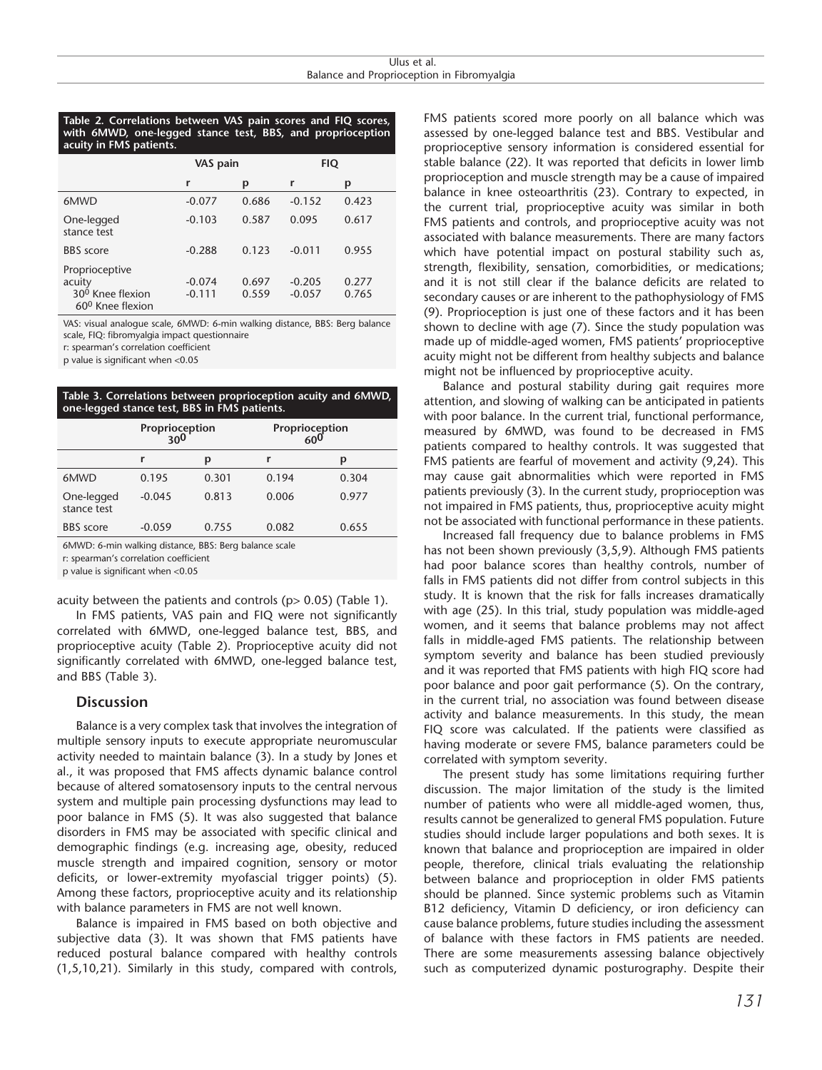#### **Table 2. Correlations between VAS pain scores and FIQ scores, with 6MWD, one-legged stance test, BBS, and proprioception acuity in FMS patients.**

|                                                                                 | VAS pain             |                | FIQ                  |                |
|---------------------------------------------------------------------------------|----------------------|----------------|----------------------|----------------|
|                                                                                 | r                    | p              | r                    | р              |
| 6MWD                                                                            | $-0.077$             | 0.686          | $-0.152$             | 0.423          |
| One-legged<br>stance test                                                       | $-0.103$             | 0.587          | 0.095                | 0.617          |
| <b>BBS</b> score                                                                | $-0.288$             | 0.123          | $-0.011$             | 0.955          |
| Proprioceptive<br>acuity<br>30 <sup>0</sup> Knee flexion<br>$60^0$ Knee flexion | $-0.074$<br>$-0.111$ | 0.697<br>0.559 | $-0.205$<br>$-0.057$ | 0.277<br>0.765 |

VAS: visual analogue scale, 6MWD: 6-min walking distance, BBS: Berg balance scale, FIQ: fibromyalgia impact questionnaire

r: spearman's correlation coefficient

p value is significant when <0.05

**Table 3. Correlations between proprioception acuity and 6MWD, one-legged stance test, BBS in FMS patients.**

|                           | Proprioception<br>300 |       | Proprioception<br>600 |       |
|---------------------------|-----------------------|-------|-----------------------|-------|
|                           | r                     | D     | r                     | Ŋ     |
| 6MWD                      | 0.195                 | 0.301 | 0.194                 | 0.304 |
| One-legged<br>stance test | $-0.045$              | 0.813 | 0.006                 | 0.977 |
| <b>BBS</b> score          | $-0.059$              | 0.755 | 0.082                 | 0.655 |

6MWD: 6-min walking distance, BBS: Berg balance scale

r: spearman's correlation coefficient

p value is significant when <0.05

acuity between the patients and controls ( $p$  > 0.05) (Table 1).

In FMS patients, VAS pain and FIQ were not significantly correlated with 6MWD, one-legged balance test, BBS, and proprioceptive acuity (Table 2). Proprioceptive acuity did not significantly correlated with 6MWD, one-legged balance test, and BBS (Table 3).

#### **Discussion**

Balance is a very complex task that involves the integration of multiple sensory inputs to execute appropriate neuromuscular activity needed to maintain balance (3). In a study by Jones et al., it was proposed that FMS affects dynamic balance control because of altered somatosensory inputs to the central nervous system and multiple pain processing dysfunctions may lead to poor balance in FMS (5). It was also suggested that balance disorders in FMS may be associated with specific clinical and demographic findings (e.g. increasing age, obesity, reduced muscle strength and impaired cognition, sensory or motor deficits, or lower-extremity myofascial trigger points) (5). Among these factors, proprioceptive acuity and its relationship with balance parameters in FMS are not well known.

Balance is impaired in FMS based on both objective and subjective data (3). It was shown that FMS patients have reduced postural balance compared with healthy controls (1,5,10,21). Similarly in this study, compared with controls, FMS patients scored more poorly on all balance which was assessed by one-legged balance test and BBS. Vestibular and proprioceptive sensory information is considered essential for stable balance (22). It was reported that deficits in lower limb proprioception and muscle strength may be a cause of impaired balance in knee osteoarthritis (23). Contrary to expected, in the current trial, proprioceptive acuity was similar in both FMS patients and controls, and proprioceptive acuity was not associated with balance measurements. There are many factors which have potential impact on postural stability such as, strength, flexibility, sensation, comorbidities, or medications; and it is not still clear if the balance deficits are related to secondary causes or are inherent to the pathophysiology of FMS (9). Proprioception is just one of these factors and it has been shown to decline with age (7). Since the study population was made up of middle-aged women, FMS patients' proprioceptive acuity might not be different from healthy subjects and balance might not be influenced by proprioceptive acuity.

Balance and postural stability during gait requires more attention, and slowing of walking can be anticipated in patients with poor balance. In the current trial, functional performance, measured by 6MWD, was found to be decreased in FMS patients compared to healthy controls. It was suggested that FMS patients are fearful of movement and activity (9,24). This may cause gait abnormalities which were reported in FMS patients previously (3). In the current study, proprioception was not impaired in FMS patients, thus, proprioceptive acuity might not be associated with functional performance in these patients.

Increased fall frequency due to balance problems in FMS has not been shown previously (3,5,9). Although FMS patients had poor balance scores than healthy controls, number of falls in FMS patients did not differ from control subjects in this study. It is known that the risk for falls increases dramatically with age (25). In this trial, study population was middle-aged women, and it seems that balance problems may not affect falls in middle-aged FMS patients. The relationship between symptom severity and balance has been studied previously and it was reported that FMS patients with high FIQ score had poor balance and poor gait performance (5). On the contrary, in the current trial, no association was found between disease activity and balance measurements. In this study, the mean FIQ score was calculated. If the patients were classified as having moderate or severe FMS, balance parameters could be correlated with symptom severity.

The present study has some limitations requiring further discussion. The major limitation of the study is the limited number of patients who were all middle-aged women, thus, results cannot be generalized to general FMS population. Future studies should include larger populations and both sexes. It is known that balance and proprioception are impaired in older people, therefore, clinical trials evaluating the relationship between balance and proprioception in older FMS patients should be planned. Since systemic problems such as Vitamin B12 deficiency, Vitamin D deficiency, or iron deficiency can cause balance problems, future studies including the assessment of balance with these factors in FMS patients are needed. There are some measurements assessing balance objectively such as computerized dynamic posturography. Despite their